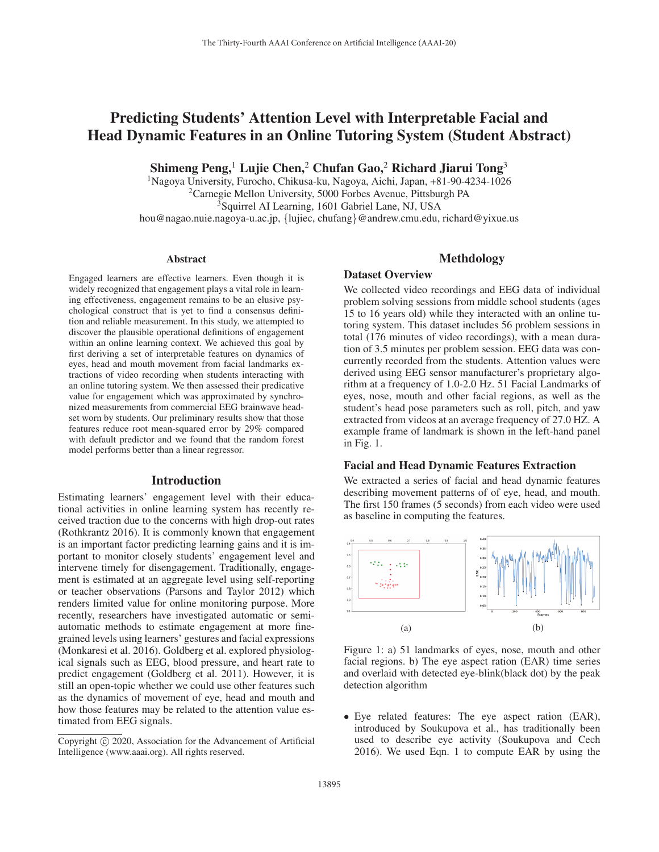# Predicting Students' Attention Level with Interpretable Facial and Head Dynamic Features in an Online Tutoring System (Student Abstract)

Shimeng Peng,<sup>1</sup> Lujie Chen,<sup>2</sup> Chufan Gao,<sup>2</sup> Richard Jiarui Tong<sup>3</sup>

1Nagoya University, Furocho, Chikusa-ku, Nagoya, Aichi, Japan, +81-90-4234-1026 2Carnegie Mellon University, 5000 Forbes Avenue, Pittsburgh PA <sup>3</sup>Squirrel AI Learning, 1601 Gabriel Lane, NJ, USA hou@nagao.nuie.nagoya-u.ac.jp, {lujiec, chufang}@andrew.cmu.edu, richard@yixue.us

#### Abstract

Engaged learners are effective learners. Even though it is widely recognized that engagement plays a vital role in learning effectiveness, engagement remains to be an elusive psychological construct that is yet to find a consensus definition and reliable measurement. In this study, we attempted to discover the plausible operational definitions of engagement within an online learning context. We achieved this goal by first deriving a set of interpretable features on dynamics of eyes, head and mouth movement from facial landmarks extractions of video recording when students interacting with an online tutoring system. We then assessed their predicative value for engagement which was approximated by synchronized measurements from commercial EEG brainwave headset worn by students. Our preliminary results show that those features reduce root mean-squared error by 29% compared with default predictor and we found that the random forest model performs better than a linear regressor.

#### Introduction

Estimating learners' engagement level with their educational activities in online learning system has recently received traction due to the concerns with high drop-out rates (Rothkrantz 2016). It is commonly known that engagement is an important factor predicting learning gains and it is important to monitor closely students' engagement level and intervene timely for disengagement. Traditionally, engagement is estimated at an aggregate level using self-reporting or teacher observations (Parsons and Taylor 2012) which renders limited value for online monitoring purpose. More recently, researchers have investigated automatic or semiautomatic methods to estimate engagement at more finegrained levels using learners' gestures and facial expressions (Monkaresi et al. 2016). Goldberg et al. explored physiological signals such as EEG, blood pressure, and heart rate to predict engagement (Goldberg et al. 2011). However, it is still an open-topic whether we could use other features such as the dynamics of movement of eye, head and mouth and how those features may be related to the attention value estimated from EEG signals.

# Methdology

#### Dataset Overview

We collected video recordings and EEG data of individual problem solving sessions from middle school students (ages 15 to 16 years old) while they interacted with an online tutoring system. This dataset includes 56 problem sessions in total (176 minutes of video recordings), with a mean duration of 3.5 minutes per problem session. EEG data was concurrently recorded from the students. Attention values were derived using EEG sensor manufacturer's proprietary algorithm at a frequency of 1.0-2.0 Hz. 51 Facial Landmarks of eyes, nose, mouth and other facial regions, as well as the student's head pose parameters such as roll, pitch, and yaw extracted from videos at an average frequency of 27.0 HZ. A example frame of landmark is shown in the left-hand panel in Fig. 1.

#### Facial and Head Dynamic Features Extraction

We extracted a series of facial and head dynamic features describing movement patterns of of eye, head, and mouth. The first 150 frames (5 seconds) from each video were used as baseline in computing the features.



Figure 1: a) 51 landmarks of eyes, nose, mouth and other facial regions. b) The eye aspect ration (EAR) time series and overlaid with detected eye-blink(black dot) by the peak detection algorithm

• Eye related features: The eye aspect ration (EAR), introduced by Soukupova et al., has traditionally been used to describe eye activity (Soukupova and Cech 2016). We used Eqn. 1 to compute EAR by using the

Copyright  $\odot$  2020, Association for the Advancement of Artificial Intelligence (www.aaai.org). All rights reserved.